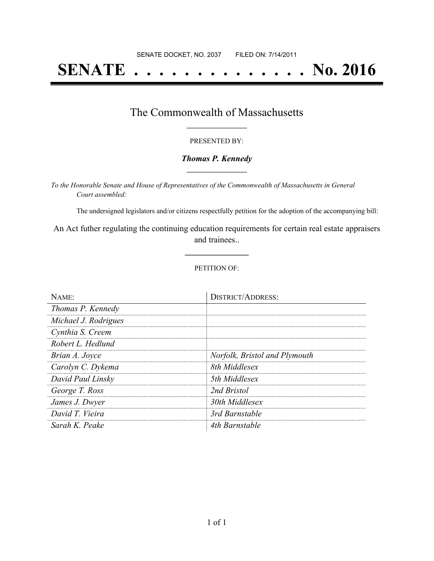# **SENATE . . . . . . . . . . . . . . No. 2016**

### The Commonwealth of Massachusetts **\_\_\_\_\_\_\_\_\_\_\_\_\_\_\_\_\_**

#### PRESENTED BY:

#### *Thomas P. Kennedy* **\_\_\_\_\_\_\_\_\_\_\_\_\_\_\_\_\_**

*To the Honorable Senate and House of Representatives of the Commonwealth of Massachusetts in General Court assembled:*

The undersigned legislators and/or citizens respectfully petition for the adoption of the accompanying bill:

An Act futher regulating the continuing education requirements for certain real estate appraisers and trainees..

**\_\_\_\_\_\_\_\_\_\_\_\_\_\_\_**

#### PETITION OF:

| NAME:                | <b>DISTRICT/ADDRESS:</b>      |
|----------------------|-------------------------------|
| Thomas P. Kennedy    |                               |
| Michael J. Rodrigues |                               |
| Cynthia S. Creem     |                               |
| Robert L. Hedlund    |                               |
| Brian A. Joyce       | Norfolk, Bristol and Plymouth |
| Carolyn C. Dykema    | 8th Middlesex                 |
| David Paul Linsky    | 5th Middlesex                 |
| George T. Ross       | 2nd Bristol                   |
| James J. Dwyer       | 30th Middlesex                |
| David T. Vieira      | 3rd Barnstable                |
| Sarah K. Peake       | 4th Barnstable                |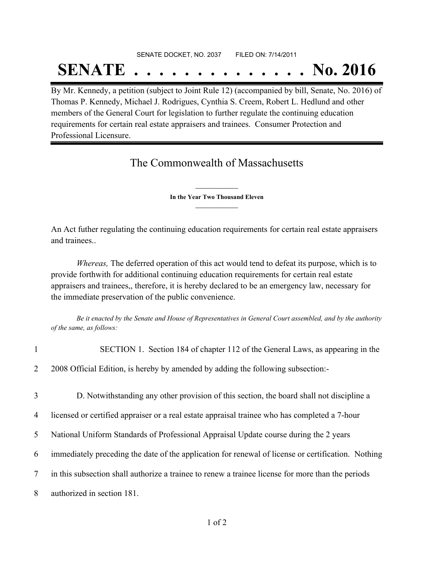## SENATE DOCKET, NO. 2037 FILED ON: 7/14/2011 **SENATE . . . . . . . . . . . . . . No. 2016**

By Mr. Kennedy, a petition (subject to Joint Rule 12) (accompanied by bill, Senate, No. 2016) of Thomas P. Kennedy, Michael J. Rodrigues, Cynthia S. Creem, Robert L. Hedlund and other members of the General Court for legislation to further regulate the continuing education requirements for certain real estate appraisers and trainees. Consumer Protection and Professional Licensure.

## The Commonwealth of Massachusetts

**\_\_\_\_\_\_\_\_\_\_\_\_\_\_\_ In the Year Two Thousand Eleven \_\_\_\_\_\_\_\_\_\_\_\_\_\_\_**

An Act futher regulating the continuing education requirements for certain real estate appraisers and trainees..

*Whereas,* The deferred operation of this act would tend to defeat its purpose, which is to provide forthwith for additional continuing education requirements for certain real estate appraisers and trainees,, therefore, it is hereby declared to be an emergency law, necessary for the immediate preservation of the public convenience.

Be it enacted by the Senate and House of Representatives in General Court assembled, and by the authority *of the same, as follows:*

| $\mathbf{1}$   | SECTION 1. Section 184 of chapter 112 of the General Laws, as appearing in the                     |
|----------------|----------------------------------------------------------------------------------------------------|
| $\overline{2}$ | 2008 Official Edition, is hereby by amended by adding the following subsection:-                   |
| 3              | D. Notwithstanding any other provision of this section, the board shall not discipline a           |
| $\overline{4}$ | licensed or certified appraiser or a real estate appraisal trainee who has completed a 7-hour      |
| 5 <sup>1</sup> | National Uniform Standards of Professional Appraisal Update course during the 2 years              |
| 6              | immediately preceding the date of the application for renewal of license or certification. Nothing |
| $\tau$         | in this subsection shall authorize a trainee to renew a trainee license for more than the periods  |
| 8              | authorized in section 181.                                                                         |